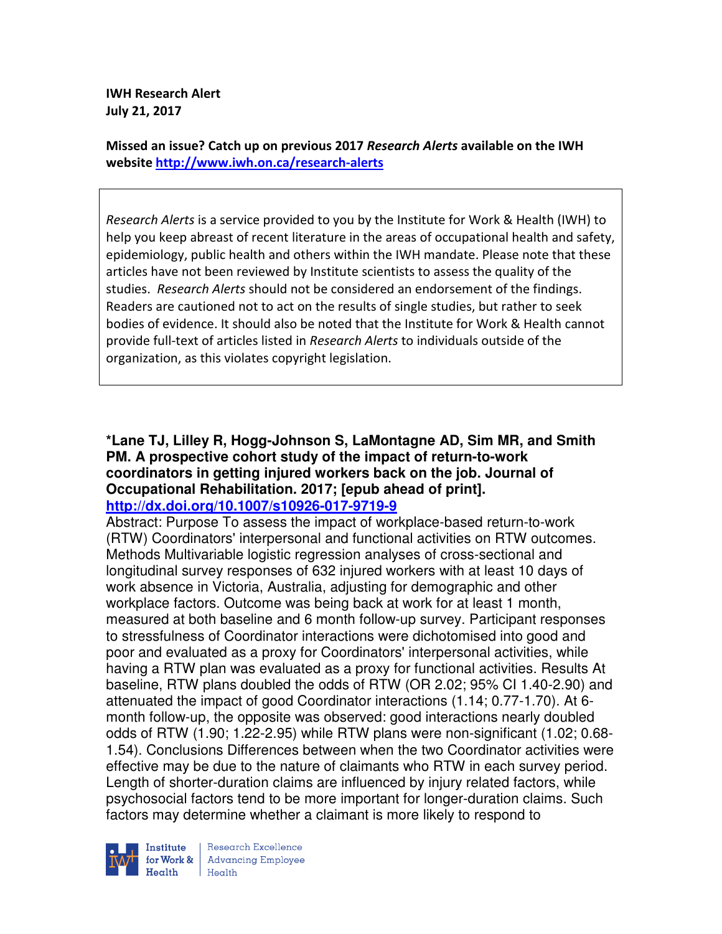**IWH Research Alert July 21, 2017** 

**Missed an issue? Catch up on previous 2017** *Research Alerts* **available on the IWH website http://www.iwh.on.ca/research-alerts**

*Research Alerts* is a service provided to you by the Institute for Work & Health (IWH) to help you keep abreast of recent literature in the areas of occupational health and safety, epidemiology, public health and others within the IWH mandate. Please note that these articles have not been reviewed by Institute scientists to assess the quality of the studies. *Research Alerts* should not be considered an endorsement of the findings. Readers are cautioned not to act on the results of single studies, but rather to seek bodies of evidence. It should also be noted that the Institute for Work & Health cannot provide full-text of articles listed in *Research Alerts* to individuals outside of the organization, as this violates copyright legislation.

#### **\*Lane TJ, Lilley R, Hogg-Johnson S, LaMontagne AD, Sim MR, and Smith PM. A prospective cohort study of the impact of return-to-work coordinators in getting injured workers back on the job. Journal of Occupational Rehabilitation. 2017; [epub ahead of print]. http://dx.doi.org/10.1007/s10926-017-9719-9**

Abstract: Purpose To assess the impact of workplace-based return-to-work (RTW) Coordinators' interpersonal and functional activities on RTW outcomes. Methods Multivariable logistic regression analyses of cross-sectional and longitudinal survey responses of 632 injured workers with at least 10 days of work absence in Victoria, Australia, adjusting for demographic and other workplace factors. Outcome was being back at work for at least 1 month, measured at both baseline and 6 month follow-up survey. Participant responses to stressfulness of Coordinator interactions were dichotomised into good and poor and evaluated as a proxy for Coordinators' interpersonal activities, while having a RTW plan was evaluated as a proxy for functional activities. Results At baseline, RTW plans doubled the odds of RTW (OR 2.02; 95% CI 1.40-2.90) and attenuated the impact of good Coordinator interactions (1.14; 0.77-1.70). At 6 month follow-up, the opposite was observed: good interactions nearly doubled odds of RTW (1.90; 1.22-2.95) while RTW plans were non-significant (1.02; 0.68- 1.54). Conclusions Differences between when the two Coordinator activities were effective may be due to the nature of claimants who RTW in each survey period. Length of shorter-duration claims are influenced by injury related factors, while psychosocial factors tend to be more important for longer-duration claims. Such factors may determine whether a claimant is more likely to respond to



Research Excellence for Work & | Advancing Employee  $H_{\text{eath}}$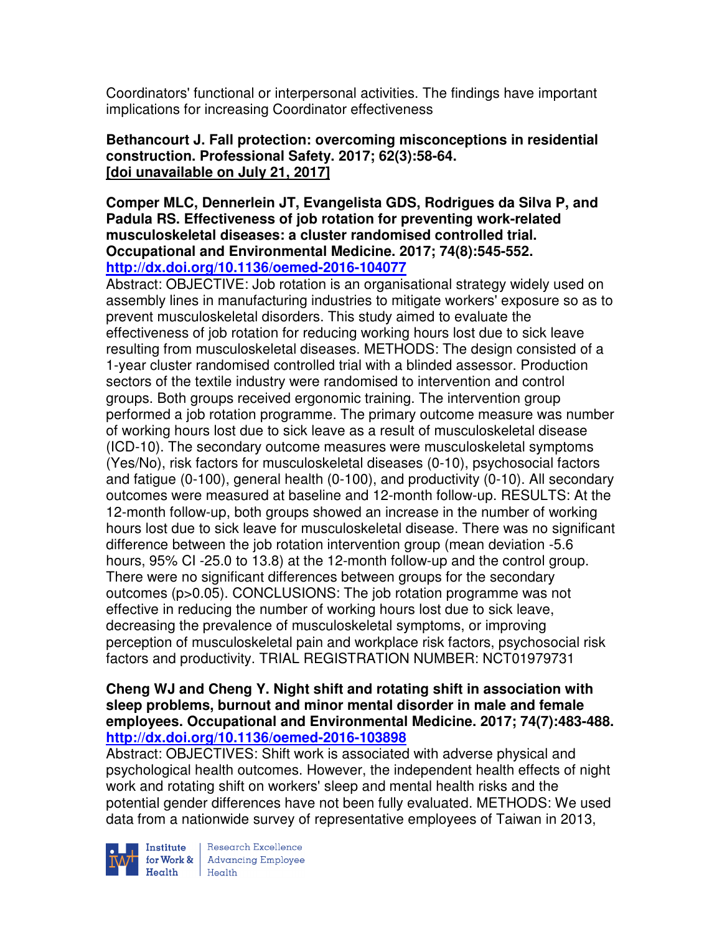Coordinators' functional or interpersonal activities. The findings have important implications for increasing Coordinator effectiveness

# **Bethancourt J. Fall protection: overcoming misconceptions in residential construction. Professional Safety. 2017; 62(3):58-64. [doi unavailable on July 21, 2017]**

**Comper MLC, Dennerlein JT, Evangelista GDS, Rodrigues da Silva P, and Padula RS. Effectiveness of job rotation for preventing work-related musculoskeletal diseases: a cluster randomised controlled trial. Occupational and Environmental Medicine. 2017; 74(8):545-552. http://dx.doi.org/10.1136/oemed-2016-104077** 

Abstract: OBJECTIVE: Job rotation is an organisational strategy widely used on assembly lines in manufacturing industries to mitigate workers' exposure so as to prevent musculoskeletal disorders. This study aimed to evaluate the effectiveness of job rotation for reducing working hours lost due to sick leave resulting from musculoskeletal diseases. METHODS: The design consisted of a 1-year cluster randomised controlled trial with a blinded assessor. Production sectors of the textile industry were randomised to intervention and control groups. Both groups received ergonomic training. The intervention group performed a job rotation programme. The primary outcome measure was number of working hours lost due to sick leave as a result of musculoskeletal disease (ICD-10). The secondary outcome measures were musculoskeletal symptoms (Yes/No), risk factors for musculoskeletal diseases (0-10), psychosocial factors and fatigue (0-100), general health (0-100), and productivity (0-10). All secondary outcomes were measured at baseline and 12-month follow-up. RESULTS: At the 12-month follow-up, both groups showed an increase in the number of working hours lost due to sick leave for musculoskeletal disease. There was no significant difference between the job rotation intervention group (mean deviation -5.6 hours, 95% CI -25.0 to 13.8) at the 12-month follow-up and the control group. There were no significant differences between groups for the secondary outcomes (p>0.05). CONCLUSIONS: The job rotation programme was not effective in reducing the number of working hours lost due to sick leave, decreasing the prevalence of musculoskeletal symptoms, or improving perception of musculoskeletal pain and workplace risk factors, psychosocial risk factors and productivity. TRIAL REGISTRATION NUMBER: NCT01979731

## **Cheng WJ and Cheng Y. Night shift and rotating shift in association with sleep problems, burnout and minor mental disorder in male and female employees. Occupational and Environmental Medicine. 2017; 74(7):483-488. http://dx.doi.org/10.1136/oemed-2016-103898**

Abstract: OBJECTIVES: Shift work is associated with adverse physical and psychological health outcomes. However, the independent health effects of night work and rotating shift on workers' sleep and mental health risks and the potential gender differences have not been fully evaluated. METHODS: We used data from a nationwide survey of representative employees of Taiwan in 2013,



Institute | Research Excellence<br>| for Work & | Advancing Employee<br>| Health Markov  $H_{\text{eath}}$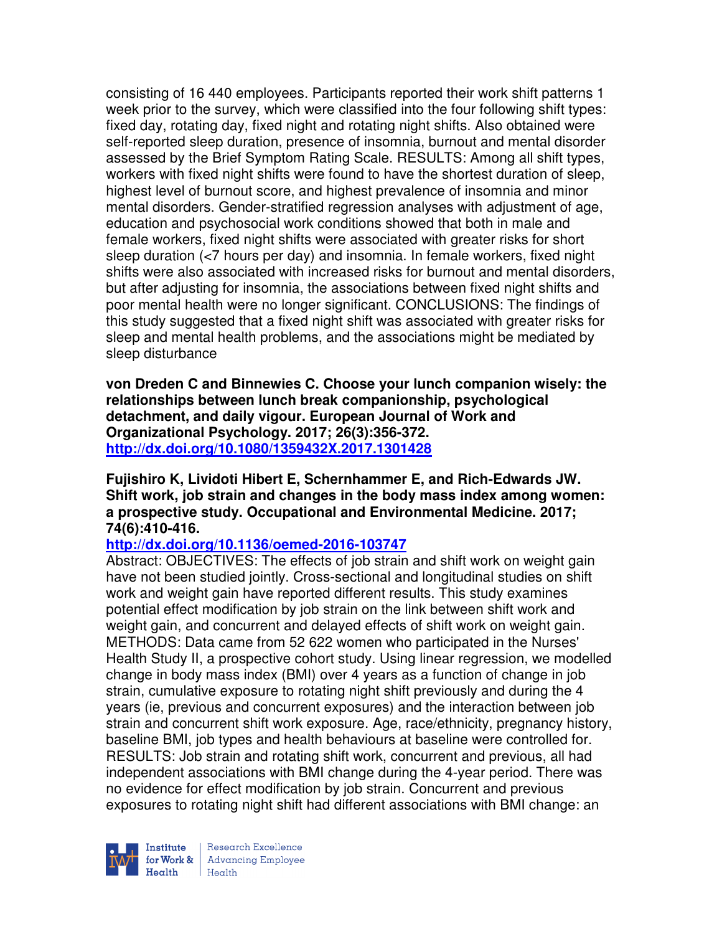consisting of 16 440 employees. Participants reported their work shift patterns 1 week prior to the survey, which were classified into the four following shift types: fixed day, rotating day, fixed night and rotating night shifts. Also obtained were self-reported sleep duration, presence of insomnia, burnout and mental disorder assessed by the Brief Symptom Rating Scale. RESULTS: Among all shift types, workers with fixed night shifts were found to have the shortest duration of sleep, highest level of burnout score, and highest prevalence of insomnia and minor mental disorders. Gender-stratified regression analyses with adjustment of age, education and psychosocial work conditions showed that both in male and female workers, fixed night shifts were associated with greater risks for short sleep duration (<7 hours per day) and insomnia. In female workers, fixed night shifts were also associated with increased risks for burnout and mental disorders, but after adjusting for insomnia, the associations between fixed night shifts and poor mental health were no longer significant. CONCLUSIONS: The findings of this study suggested that a fixed night shift was associated with greater risks for sleep and mental health problems, and the associations might be mediated by sleep disturbance

**von Dreden C and Binnewies C. Choose your lunch companion wisely: the relationships between lunch break companionship, psychological detachment, and daily vigour. European Journal of Work and Organizational Psychology. 2017; 26(3):356-372. http://dx.doi.org/10.1080/1359432X.2017.1301428** 

#### **Fujishiro K, Lividoti Hibert E, Schernhammer E, and Rich-Edwards JW. Shift work, job strain and changes in the body mass index among women: a prospective study. Occupational and Environmental Medicine. 2017; 74(6):410-416.**

#### **http://dx.doi.org/10.1136/oemed-2016-103747**

Abstract: OBJECTIVES: The effects of job strain and shift work on weight gain have not been studied jointly. Cross-sectional and longitudinal studies on shift work and weight gain have reported different results. This study examines potential effect modification by job strain on the link between shift work and weight gain, and concurrent and delayed effects of shift work on weight gain. METHODS: Data came from 52 622 women who participated in the Nurses' Health Study II, a prospective cohort study. Using linear regression, we modelled change in body mass index (BMI) over 4 years as a function of change in job strain, cumulative exposure to rotating night shift previously and during the 4 years (ie, previous and concurrent exposures) and the interaction between job strain and concurrent shift work exposure. Age, race/ethnicity, pregnancy history, baseline BMI, job types and health behaviours at baseline were controlled for. RESULTS: Job strain and rotating shift work, concurrent and previous, all had independent associations with BMI change during the 4-year period. There was no evidence for effect modification by job strain. Concurrent and previous exposures to rotating night shift had different associations with BMI change: an



Research Excellence for Work & | Advancing Employee Health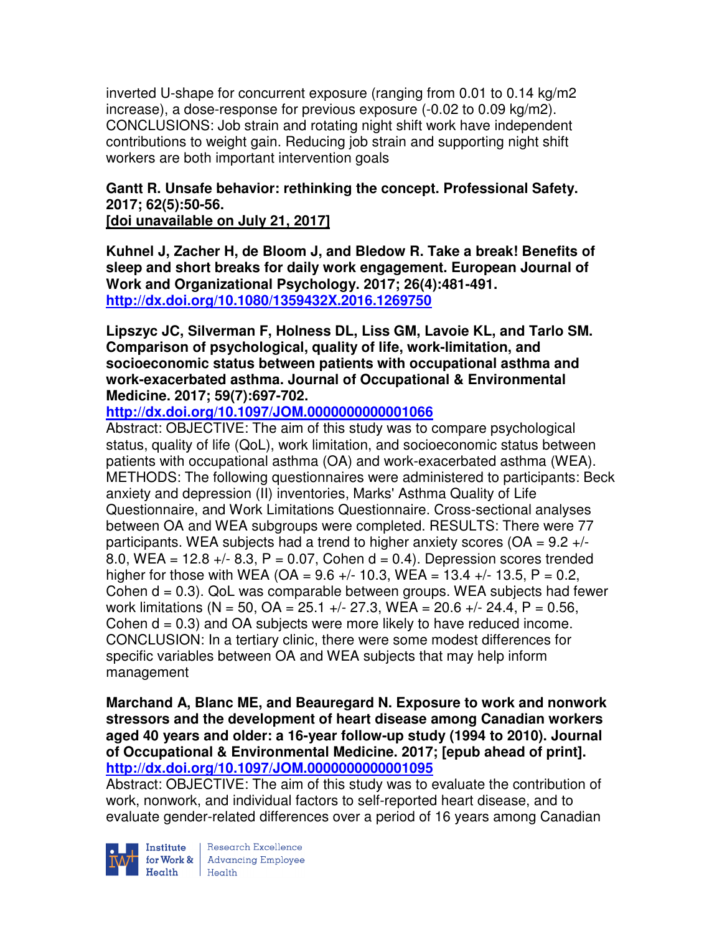inverted U-shape for concurrent exposure (ranging from 0.01 to 0.14 kg/m2 increase), a dose-response for previous exposure (-0.02 to 0.09 kg/m2). CONCLUSIONS: Job strain and rotating night shift work have independent contributions to weight gain. Reducing job strain and supporting night shift workers are both important intervention goals

# **Gantt R. Unsafe behavior: rethinking the concept. Professional Safety. 2017; 62(5):50-56.**

**[doi unavailable on July 21, 2017]** 

**Kuhnel J, Zacher H, de Bloom J, and Bledow R. Take a break! Benefits of sleep and short breaks for daily work engagement. European Journal of Work and Organizational Psychology. 2017; 26(4):481-491. http://dx.doi.org/10.1080/1359432X.2016.1269750** 

**Lipszyc JC, Silverman F, Holness DL, Liss GM, Lavoie KL, and Tarlo SM. Comparison of psychological, quality of life, work-limitation, and socioeconomic status between patients with occupational asthma and work-exacerbated asthma. Journal of Occupational & Environmental Medicine. 2017; 59(7):697-702.** 

# **http://dx.doi.org/10.1097/JOM.0000000000001066**

Abstract: OBJECTIVE: The aim of this study was to compare psychological status, quality of life (QoL), work limitation, and socioeconomic status between patients with occupational asthma (OA) and work-exacerbated asthma (WEA). METHODS: The following questionnaires were administered to participants: Beck anxiety and depression (II) inventories, Marks' Asthma Quality of Life Questionnaire, and Work Limitations Questionnaire. Cross-sectional analyses between OA and WEA subgroups were completed. RESULTS: There were 77 participants. WEA subjects had a trend to higher anxiety scores ( $OA = 9.2 +/-$ 8.0, WEA =  $12.8 +/- 8.3$ , P = 0.07, Cohen d = 0.4). Depression scores trended higher for those with WEA (OA =  $9.6 +/- 10.3$ , WEA =  $13.4 +/- 13.5$ , P = 0.2, Cohen  $d = 0.3$ ). QoL was comparable between groups. WEA subjects had fewer work limitations (N = 50, OA = 25.1 +/- 27.3, WEA = 20.6 +/- 24.4, P = 0.56, Cohen  $d = 0.3$ ) and OA subjects were more likely to have reduced income. CONCLUSION: In a tertiary clinic, there were some modest differences for specific variables between OA and WEA subjects that may help inform management

**Marchand A, Blanc ME, and Beauregard N. Exposure to work and nonwork stressors and the development of heart disease among Canadian workers aged 40 years and older: a 16-year follow-up study (1994 to 2010). Journal of Occupational & Environmental Medicine. 2017; [epub ahead of print]. http://dx.doi.org/10.1097/JOM.0000000000001095** 

Abstract: OBJECTIVE: The aim of this study was to evaluate the contribution of work, nonwork, and individual factors to self-reported heart disease, and to evaluate gender-related differences over a period of 16 years among Canadian



Institute Research Excellence<br>for Work & Advancing Employee<br>Health Health Health Health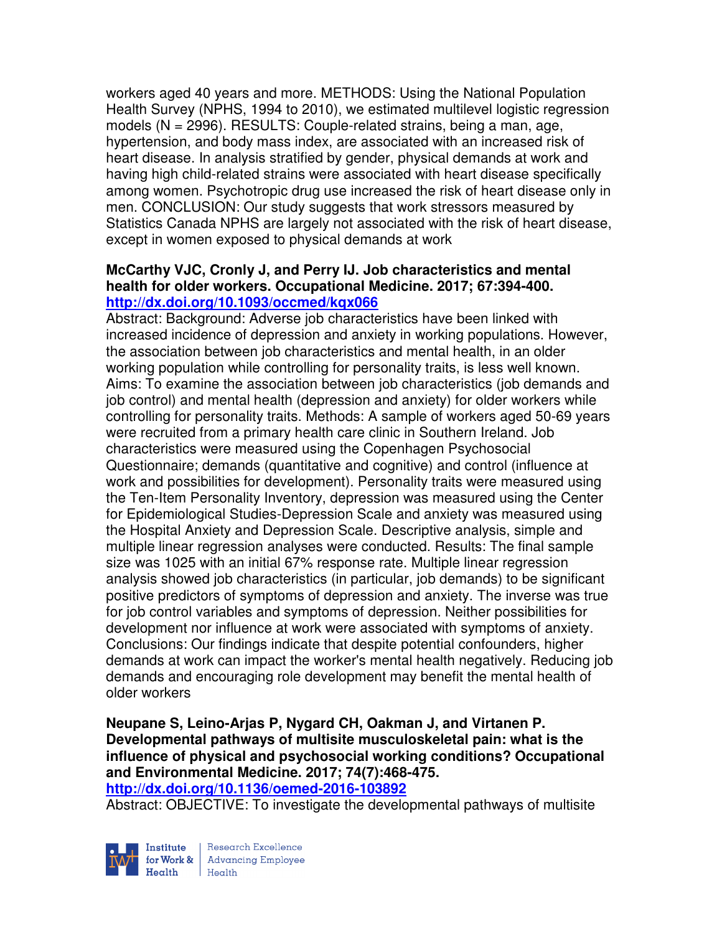workers aged 40 years and more. METHODS: Using the National Population Health Survey (NPHS, 1994 to 2010), we estimated multilevel logistic regression models (N = 2996). RESULTS: Couple-related strains, being a man, age, hypertension, and body mass index, are associated with an increased risk of heart disease. In analysis stratified by gender, physical demands at work and having high child-related strains were associated with heart disease specifically among women. Psychotropic drug use increased the risk of heart disease only in men. CONCLUSION: Our study suggests that work stressors measured by Statistics Canada NPHS are largely not associated with the risk of heart disease, except in women exposed to physical demands at work

## **McCarthy VJC, Cronly J, and Perry IJ. Job characteristics and mental health for older workers. Occupational Medicine. 2017; 67:394-400. http://dx.doi.org/10.1093/occmed/kqx066**

Abstract: Background: Adverse job characteristics have been linked with increased incidence of depression and anxiety in working populations. However, the association between job characteristics and mental health, in an older working population while controlling for personality traits, is less well known. Aims: To examine the association between job characteristics (job demands and job control) and mental health (depression and anxiety) for older workers while controlling for personality traits. Methods: A sample of workers aged 50-69 years were recruited from a primary health care clinic in Southern Ireland. Job characteristics were measured using the Copenhagen Psychosocial Questionnaire; demands (quantitative and cognitive) and control (influence at work and possibilities for development). Personality traits were measured using the Ten-Item Personality Inventory, depression was measured using the Center for Epidemiological Studies-Depression Scale and anxiety was measured using the Hospital Anxiety and Depression Scale. Descriptive analysis, simple and multiple linear regression analyses were conducted. Results: The final sample size was 1025 with an initial 67% response rate. Multiple linear regression analysis showed job characteristics (in particular, job demands) to be significant positive predictors of symptoms of depression and anxiety. The inverse was true for job control variables and symptoms of depression. Neither possibilities for development nor influence at work were associated with symptoms of anxiety. Conclusions: Our findings indicate that despite potential confounders, higher demands at work can impact the worker's mental health negatively. Reducing job demands and encouraging role development may benefit the mental health of older workers

# **Neupane S, Leino-Arjas P, Nygard CH, Oakman J, and Virtanen P. Developmental pathways of multisite musculoskeletal pain: what is the influence of physical and psychosocial working conditions? Occupational and Environmental Medicine. 2017; 74(7):468-475.**

**http://dx.doi.org/10.1136/oemed-2016-103892** 

Abstract: OBJECTIVE: To investigate the developmental pathways of multisite



Research Excellence for Work & | Advancing Employee Health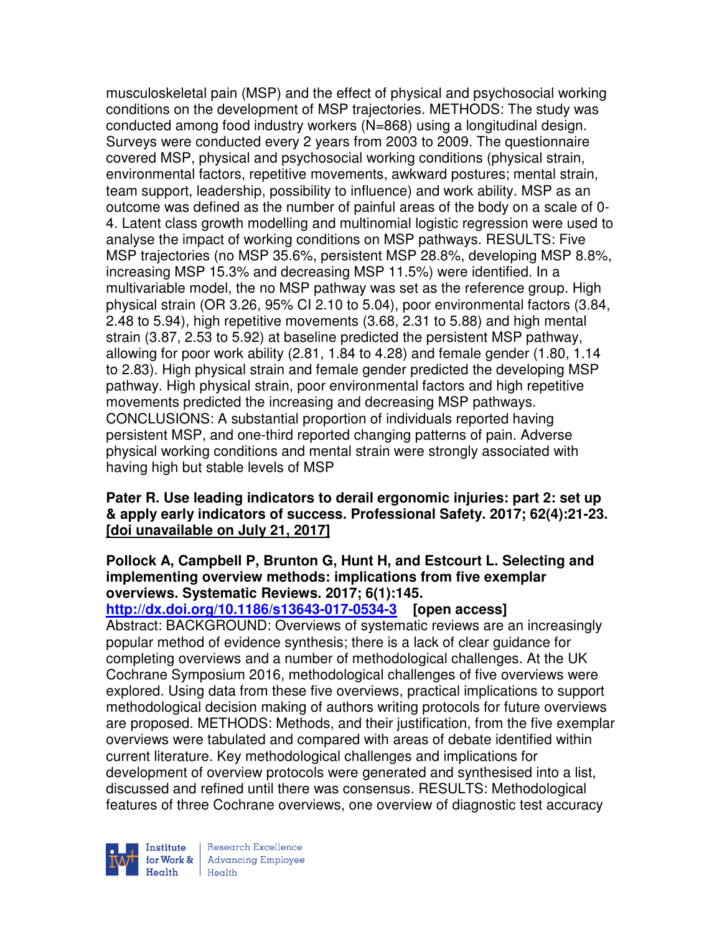musculoskeletal pain (MSP) and the effect of physical and psychosocial working conditions on the development of MSP trajectories. METHODS: The study was conducted among food industry workers (N=868) using a longitudinal design. Surveys were conducted every 2 years from 2003 to 2009. The questionnaire covered MSP, physical and psychosocial working conditions (physical strain, environmental factors, repetitive movements, awkward postures; mental strain, team support, leadership, possibility to influence) and work ability. MSP as an outcome was defined as the number of painful areas of the body on a scale of 0- 4. Latent class growth modelling and multinomial logistic regression were used to analyse the impact of working conditions on MSP pathways. RESULTS: Five MSP trajectories (no MSP 35.6%, persistent MSP 28.8%, developing MSP 8.8%, increasing MSP 15.3% and decreasing MSP 11.5%) were identified. In a multivariable model, the no MSP pathway was set as the reference group. High physical strain (OR 3.26, 95% CI 2.10 to 5.04), poor environmental factors (3.84, 2.48 to 5.94), high repetitive movements (3.68, 2.31 to 5.88) and high mental strain (3.87, 2.53 to 5.92) at baseline predicted the persistent MSP pathway, allowing for poor work ability (2.81, 1.84 to 4.28) and female gender (1.80, 1.14 to 2.83). High physical strain and female gender predicted the developing MSP pathway. High physical strain, poor environmental factors and high repetitive movements predicted the increasing and decreasing MSP pathways. CONCLUSIONS: A substantial proportion of individuals reported having persistent MSP, and one-third reported changing patterns of pain. Adverse physical working conditions and mental strain were strongly associated with having high but stable levels of MSP

## **Pater R. Use leading indicators to derail ergonomic injuries: part 2: set up & apply early indicators of success. Professional Safety. 2017; 62(4):21-23. [doi unavailable on July 21, 2017]**

## **Pollock A, Campbell P, Brunton G, Hunt H, and Estcourt L. Selecting and implementing overview methods: implications from five exemplar overviews. Systematic Reviews. 2017; 6(1):145.**

**http://dx.doi.org/10.1186/s13643-017-0534-3 [open access]** Abstract: BACKGROUND: Overviews of systematic reviews are an increasingly popular method of evidence synthesis; there is a lack of clear guidance for completing overviews and a number of methodological challenges. At the UK Cochrane Symposium 2016, methodological challenges of five overviews were explored. Using data from these five overviews, practical implications to support methodological decision making of authors writing protocols for future overviews are proposed. METHODS: Methods, and their justification, from the five exemplar overviews were tabulated and compared with areas of debate identified within current literature. Key methodological challenges and implications for development of overview protocols were generated and synthesised into a list, discussed and refined until there was consensus. RESULTS: Methodological features of three Cochrane overviews, one overview of diagnostic test accuracy



Research Excellence for Work & | Advancing Employee  $H_{\text{each}}$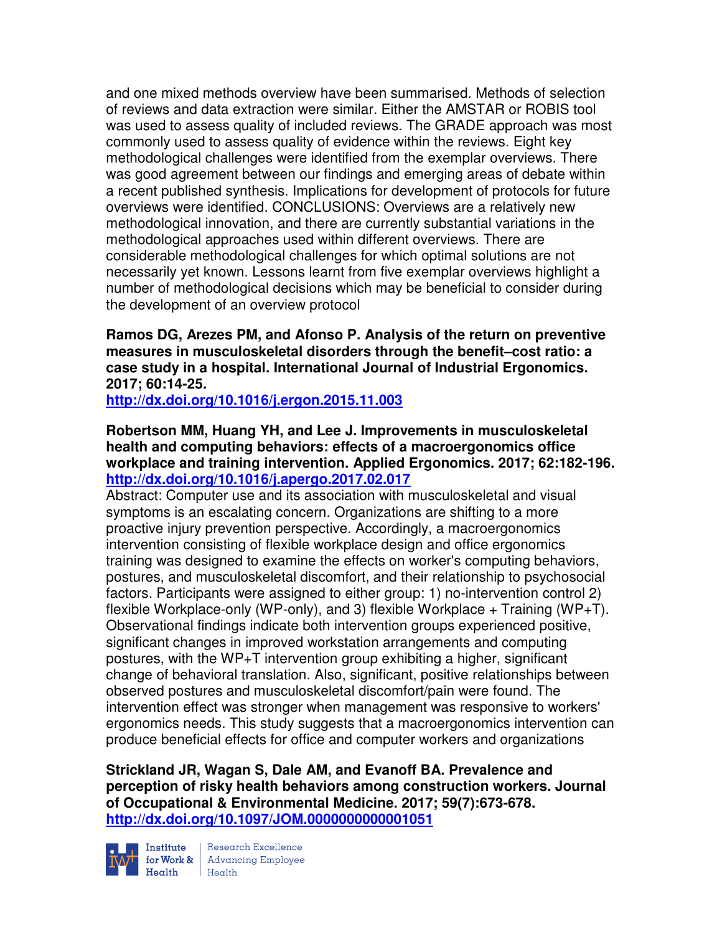and one mixed methods overview have been summarised. Methods of selection of reviews and data extraction were similar. Either the AMSTAR or ROBIS tool was used to assess quality of included reviews. The GRADE approach was most commonly used to assess quality of evidence within the reviews. Eight key methodological challenges were identified from the exemplar overviews. There was good agreement between our findings and emerging areas of debate within a recent published synthesis. Implications for development of protocols for future overviews were identified. CONCLUSIONS: Overviews are a relatively new methodological innovation, and there are currently substantial variations in the methodological approaches used within different overviews. There are considerable methodological challenges for which optimal solutions are not necessarily yet known. Lessons learnt from five exemplar overviews highlight a number of methodological decisions which may be beneficial to consider during the development of an overview protocol

## **Ramos DG, Arezes PM, and Afonso P. Analysis of the return on preventive measures in musculoskeletal disorders through the benefit–cost ratio: a case study in a hospital. International Journal of Industrial Ergonomics. 2017; 60:14-25.**

**http://dx.doi.org/10.1016/j.ergon.2015.11.003** 

## **Robertson MM, Huang YH, and Lee J. Improvements in musculoskeletal health and computing behaviors: effects of a macroergonomics office workplace and training intervention. Applied Ergonomics. 2017; 62:182-196. http://dx.doi.org/10.1016/j.apergo.2017.02.017**

Abstract: Computer use and its association with musculoskeletal and visual symptoms is an escalating concern. Organizations are shifting to a more proactive injury prevention perspective. Accordingly, a macroergonomics intervention consisting of flexible workplace design and office ergonomics training was designed to examine the effects on worker's computing behaviors, postures, and musculoskeletal discomfort, and their relationship to psychosocial factors. Participants were assigned to either group: 1) no-intervention control 2) flexible Workplace-only (WP-only), and 3) flexible Workplace  $+$  Training (WP+T). Observational findings indicate both intervention groups experienced positive, significant changes in improved workstation arrangements and computing postures, with the WP+T intervention group exhibiting a higher, significant change of behavioral translation. Also, significant, positive relationships between observed postures and musculoskeletal discomfort/pain were found. The intervention effect was stronger when management was responsive to workers' ergonomics needs. This study suggests that a macroergonomics intervention can produce beneficial effects for office and computer workers and organizations

**Strickland JR, Wagan S, Dale AM, and Evanoff BA. Prevalence and perception of risky health behaviors among construction workers. Journal of Occupational & Environmental Medicine. 2017; 59(7):673-678. http://dx.doi.org/10.1097/JOM.0000000000001051** 



Institute Research Excellence<br>for Work & Advancing Employee<br>Health Health  $H_{\text{eath}}$